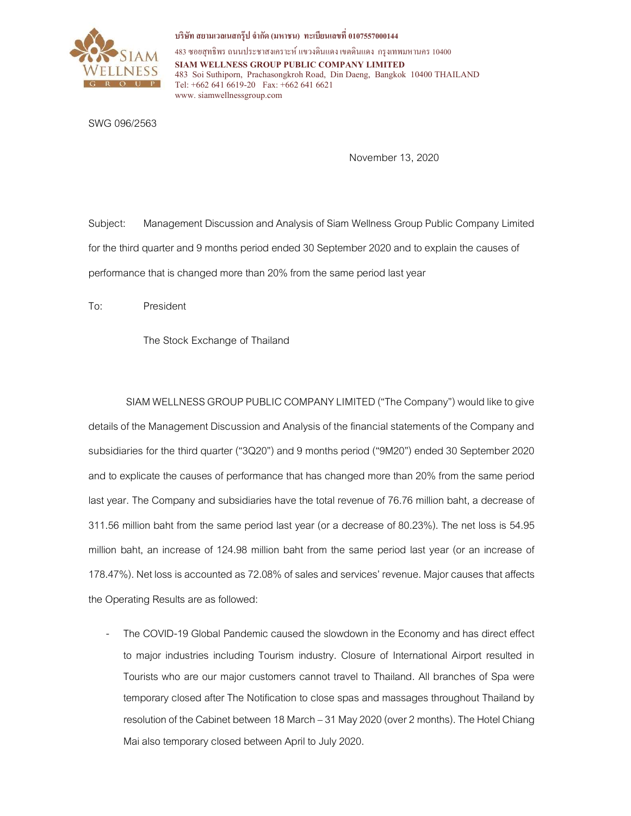

บริษัท สยามเวลเนสกรุ๊ป จำกัด (มหาชน) ทะเบียนเลขที่ 0107557000144

483 ซอยสุทธิพร ถนนประชาสงเคราะห์ แขวงดินแดง เขตดินแดง กรุงเทพมหานคร 10400 SIAM WELLNESS GROUP PUBLIC COMPANY LIMITED 483 Soi Suthiporn, Prachasongkroh Road, Din Daeng, Bangkok 10400 THAILAND Tel: +662 641 6619-20 Fax: +662 641 6621 www. siamwellnessgroup.com

SWG 096/2563

November 13, 2020

Subject: Management Discussion and Analysis of Siam Wellness Group Public Company Limited for the third quarter and 9 months period ended 30 September 2020 and to explain the causes of performance that is changed more than 20% from the same period last year

To: President

The Stock Exchange of Thailand

 SIAM WELLNESS GROUP PUBLIC COMPANY LIMITED ("The Company") would like to give details of the Management Discussion and Analysis of the financial statements of the Company and subsidiaries for the third quarter ("3Q20") and 9 months period ("9M20") ended 30 September 2020 and to explicate the causes of performance that has changed more than 20% from the same period last year. The Company and subsidiaries have the total revenue of 76.76 million baht, a decrease of 311.56 million baht from the same period last year (or a decrease of 80.23%). The net loss is 54.95 million baht, an increase of 124.98 million baht from the same period last year (or an increase of 178.47%). Net loss is accounted as 72.08% of sales and services' revenue. Major causes that affects the Operating Results are as followed:

The COVID-19 Global Pandemic caused the slowdown in the Economy and has direct effect to major industries including Tourism industry. Closure of International Airport resulted in Tourists who are our major customers cannot travel to Thailand. All branches of Spa were temporary closed after The Notification to close spas and massages throughout Thailand by resolution of the Cabinet between 18 March – 31 May 2020 (over 2 months). The Hotel Chiang Mai also temporary closed between April to July 2020.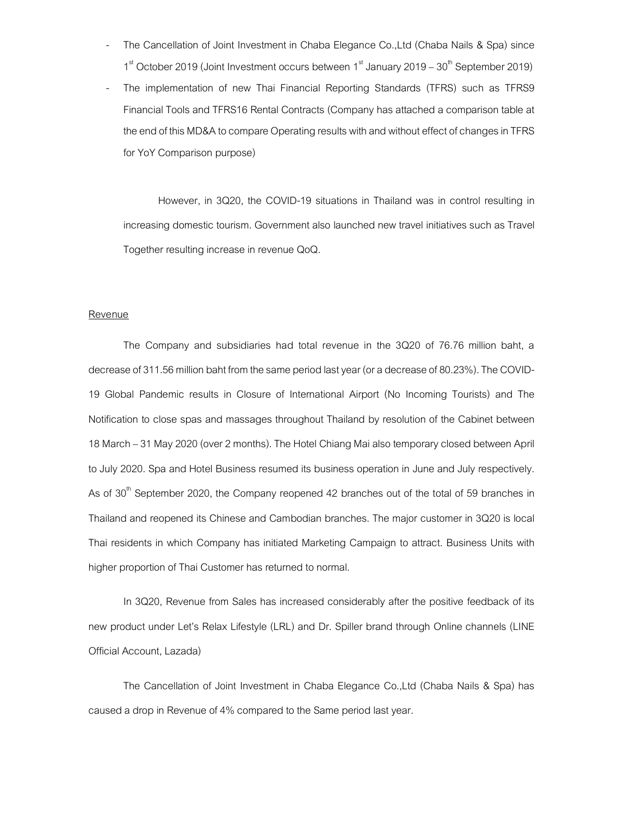- The Cancellation of Joint Investment in Chaba Elegance Co.,Ltd (Chaba Nails & Spa) since  $1<sup>st</sup>$  October 2019 (Joint Investment occurs between  $1<sup>st</sup>$  January 2019 –  $30<sup>th</sup>$  September 2019)
- The implementation of new Thai Financial Reporting Standards (TFRS) such as TFRS9 Financial Tools and TFRS16 Rental Contracts (Company has attached a comparison table at the end of this MD&A to compare Operating results with and without effect of changes in TFRS for YoY Comparison purpose)

However, in 3Q20, the COVID-19 situations in Thailand was in control resulting in increasing domestic tourism. Government also launched new travel initiatives such as Travel Together resulting increase in revenue QoQ.

## Revenue

The Company and subsidiaries had total revenue in the 3Q20 of 76.76 million baht, a decrease of 311.56 million baht from the same period last year (or a decrease of 80.23%). The COVID-19 Global Pandemic results in Closure of International Airport (No Incoming Tourists) and The Notification to close spas and massages throughout Thailand by resolution of the Cabinet between 18 March – 31 May 2020 (over 2 months). The Hotel Chiang Mai also temporary closed between April to July 2020. Spa and Hotel Business resumed its business operation in June and July respectively. As of  $30<sup>th</sup>$  September 2020, the Company reopened 42 branches out of the total of 59 branches in Thailand and reopened its Chinese and Cambodian branches. The major customer in 3Q20 is local Thai residents in which Company has initiated Marketing Campaign to attract. Business Units with higher proportion of Thai Customer has returned to normal.

In 3Q20, Revenue from Sales has increased considerably after the positive feedback of its new product under Let's Relax Lifestyle (LRL) and Dr. Spiller brand through Online channels (LINE Official Account, Lazada)

The Cancellation of Joint Investment in Chaba Elegance Co.,Ltd (Chaba Nails & Spa) has caused a drop in Revenue of 4% compared to the Same period last year.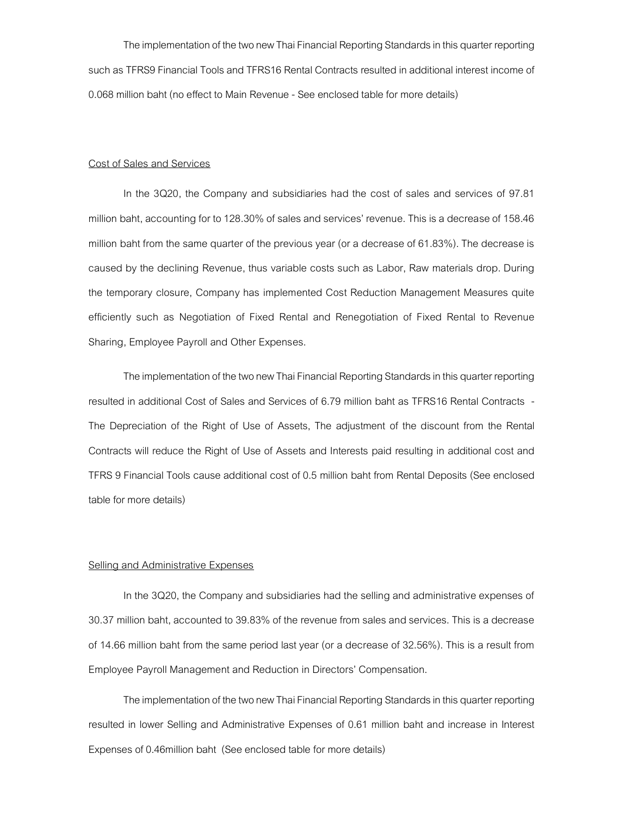The implementation of the two new Thai Financial Reporting Standards in this quarter reporting such as TFRS9 Financial Tools and TFRS16 Rental Contracts resulted in additional interest income of 0.068 million baht (no effect to Main Revenue - See enclosed table for more details)

## Cost of Sales and Services

In the 3Q20, the Company and subsidiaries had the cost of sales and services of 97.81 million baht, accounting for to 128.30% of sales and services' revenue. This is a decrease of 158.46 million baht from the same quarter of the previous year (or a decrease of 61.83%). The decrease is caused by the declining Revenue, thus variable costs such as Labor, Raw materials drop. During the temporary closure, Company has implemented Cost Reduction Management Measures quite efficiently such as Negotiation of Fixed Rental and Renegotiation of Fixed Rental to Revenue Sharing, Employee Payroll and Other Expenses.

The implementation of the two new Thai Financial Reporting Standards in this quarter reporting resulted in additional Cost of Sales and Services of 6.79 million baht as TFRS16 Rental Contracts - The Depreciation of the Right of Use of Assets, The adjustment of the discount from the Rental Contracts will reduce the Right of Use of Assets and Interests paid resulting in additional cost and TFRS 9 Financial Tools cause additional cost of 0.5 million baht from Rental Deposits (See enclosed table for more details)

## Selling and Administrative Expenses

 In the 3Q20, the Company and subsidiaries had the selling and administrative expenses of 30.37 million baht, accounted to 39.83% of the revenue from sales and services. This is a decrease of 14.66 million baht from the same period last year (or a decrease of 32.56%). This is a result from Employee Payroll Management and Reduction in Directors' Compensation.

 The implementation of the two new Thai Financial Reporting Standards in this quarter reporting resulted in lower Selling and Administrative Expenses of 0.61 million baht and increase in Interest Expenses of 0.46million baht (See enclosed table for more details)